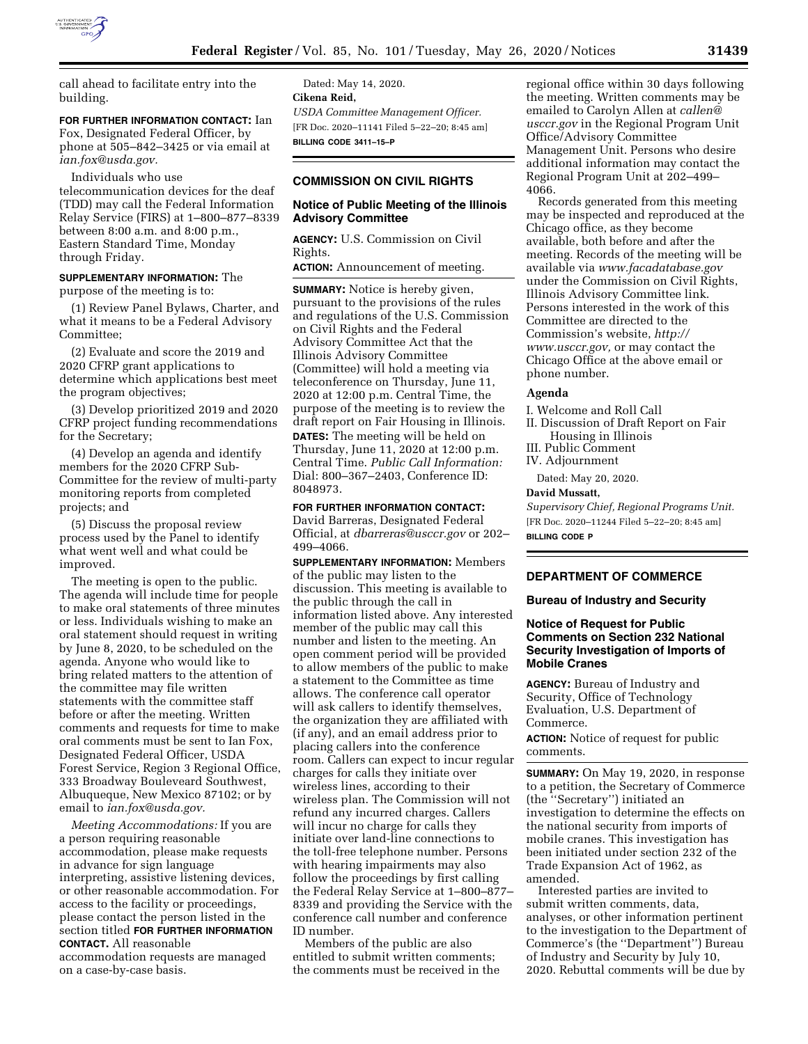

call ahead to facilitate entry into the building.

**FOR FURTHER INFORMATION CONTACT:** Ian

Fox, Designated Federal Officer, by phone at 505–842–3425 or via email at *[ian.fox@usda.gov.](mailto:ian.fox@usda.gov)* 

Individuals who use telecommunication devices for the deaf (TDD) may call the Federal Information Relay Service (FIRS) at 1–800–877–8339 between 8:00 a.m. and 8:00 p.m., Eastern Standard Time, Monday through Friday.

**SUPPLEMENTARY INFORMATION:** The purpose of the meeting is to:

(1) Review Panel Bylaws, Charter, and what it means to be a Federal Advisory Committee;

(2) Evaluate and score the 2019 and 2020 CFRP grant applications to determine which applications best meet the program objectives;

(3) Develop prioritized 2019 and 2020 CFRP project funding recommendations for the Secretary;

(4) Develop an agenda and identify members for the 2020 CFRP Sub-Committee for the review of multi-party monitoring reports from completed projects; and

(5) Discuss the proposal review process used by the Panel to identify what went well and what could be improved.

The meeting is open to the public. The agenda will include time for people to make oral statements of three minutes or less. Individuals wishing to make an oral statement should request in writing by June 8, 2020, to be scheduled on the agenda. Anyone who would like to bring related matters to the attention of the committee may file written statements with the committee staff before or after the meeting. Written comments and requests for time to make oral comments must be sent to Ian Fox, Designated Federal Officer, USDA Forest Service, Region 3 Regional Office, 333 Broadway Bouleveard Southwest, Albuqueque, New Mexico 87102; or by email to *[ian.fox@usda.gov.](mailto:ian.fox@usda.gov)* 

*Meeting Accommodations:* If you are a person requiring reasonable accommodation, please make requests in advance for sign language interpreting, assistive listening devices, or other reasonable accommodation. For access to the facility or proceedings, please contact the person listed in the section titled **FOR FURTHER INFORMATION CONTACT.** All reasonable

accommodation requests are managed on a case-by-case basis.

Dated: May 14, 2020. **Cikena Reid,**  *USDA Committee Management Officer.*  [FR Doc. 2020–11141 Filed 5–22–20; 8:45 am] **BILLING CODE 3411–15–P** 

# **COMMISSION ON CIVIL RIGHTS**

### **Notice of Public Meeting of the Illinois Advisory Committee**

**AGENCY:** U.S. Commission on Civil Rights.

**ACTION:** Announcement of meeting.

**SUMMARY:** Notice is hereby given, pursuant to the provisions of the rules and regulations of the U.S. Commission on Civil Rights and the Federal Advisory Committee Act that the Illinois Advisory Committee (Committee) will hold a meeting via teleconference on Thursday, June 11, 2020 at 12:00 p.m. Central Time, the purpose of the meeting is to review the draft report on Fair Housing in Illinois. **DATES:** The meeting will be held on Thursday, June 11, 2020 at 12:00 p.m. Central Time. *Public Call Information:*  Dial: 800–367–2403, Conference ID: 8048973.

### **FOR FURTHER INFORMATION CONTACT:**

David Barreras, Designated Federal Official, at *[dbarreras@usccr.gov](mailto:dbarreras@usccr.gov)* or 202– 499–4066.

**SUPPLEMENTARY INFORMATION:** Members of the public may listen to the discussion. This meeting is available to the public through the call in information listed above. Any interested member of the public may call this number and listen to the meeting. An open comment period will be provided to allow members of the public to make a statement to the Committee as time allows. The conference call operator will ask callers to identify themselves, the organization they are affiliated with (if any), and an email address prior to placing callers into the conference room. Callers can expect to incur regular charges for calls they initiate over wireless lines, according to their wireless plan. The Commission will not refund any incurred charges. Callers will incur no charge for calls they initiate over land-line connections to the toll-free telephone number. Persons with hearing impairments may also follow the proceedings by first calling the Federal Relay Service at 1–800–877– 8339 and providing the Service with the conference call number and conference ID number.

Members of the public are also entitled to submit written comments; the comments must be received in the regional office within 30 days following the meeting. Written comments may be emailed to Carolyn Allen at *[callen@](mailto:callen@usccr.gov) [usccr.gov](mailto:callen@usccr.gov)* in the Regional Program Unit Office/Advisory Committee Management Unit. Persons who desire additional information may contact the Regional Program Unit at 202–499– 4066.

Records generated from this meeting may be inspected and reproduced at the Chicago office, as they become available, both before and after the meeting. Records of the meeting will be available via *[www.facadatabase.gov](http://www.facadatabase.gov)*  under the Commission on Civil Rights, Illinois Advisory Committee link. Persons interested in the work of this Committee are directed to the Commission's website, *[http://](http://www.usccr.gov) [www.usccr.gov,](http://www.usccr.gov)* or may contact the Chicago Office at the above email or phone number.

# **Agenda**

I. Welcome and Roll Call II. Discussion of Draft Report on Fair Housing in Illinois III. Public Comment IV. Adjournment Dated: May 20, 2020.

# **David Mussatt,**

*Supervisory Chief, Regional Programs Unit.*  [FR Doc. 2020–11244 Filed 5–22–20; 8:45 am] **BILLING CODE P** 

#### **DEPARTMENT OF COMMERCE**

#### **Bureau of Industry and Security**

## **Notice of Request for Public Comments on Section 232 National Security Investigation of Imports of Mobile Cranes**

**AGENCY:** Bureau of Industry and Security, Office of Technology Evaluation, U.S. Department of Commerce.

**ACTION:** Notice of request for public comments.

**SUMMARY:** On May 19, 2020, in response to a petition, the Secretary of Commerce (the ''Secretary'') initiated an investigation to determine the effects on the national security from imports of mobile cranes. This investigation has been initiated under section 232 of the Trade Expansion Act of 1962, as amended.

Interested parties are invited to submit written comments, data, analyses, or other information pertinent to the investigation to the Department of Commerce's (the ''Department'') Bureau of Industry and Security by July 10, 2020. Rebuttal comments will be due by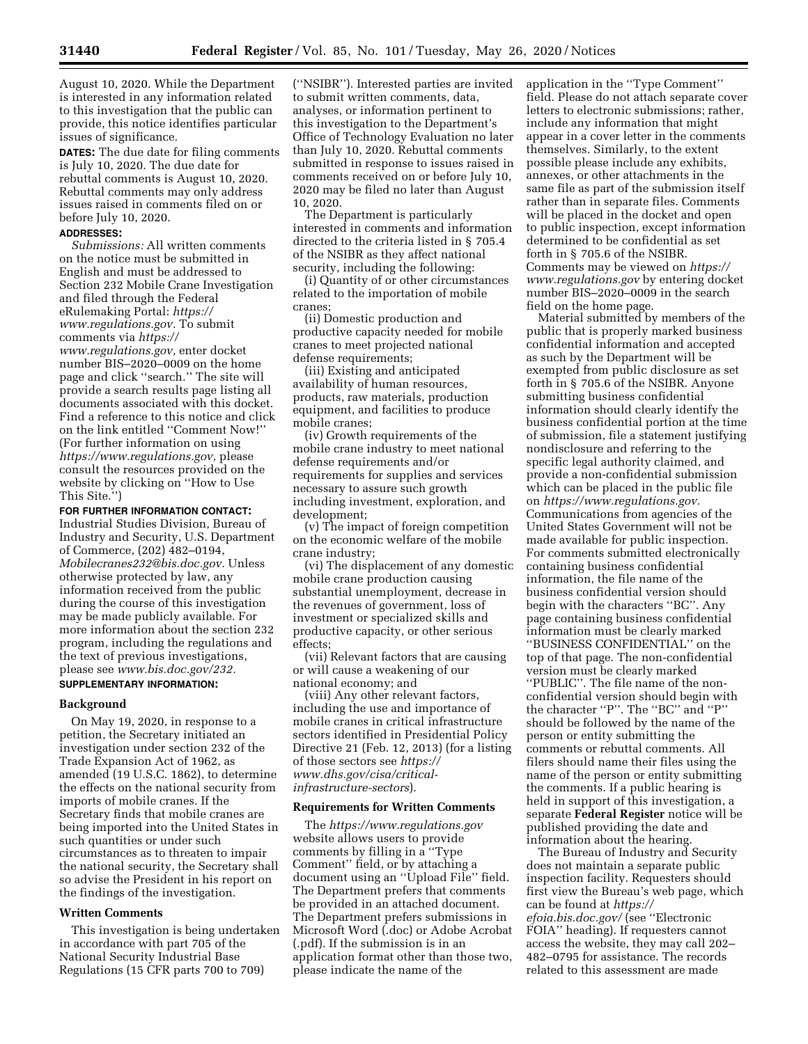August 10, 2020. While the Department is interested in any information related to this investigation that the public can provide, this notice identifies particular issues of significance.

**DATES:** The due date for filing comments is July 10, 2020. The due date for rebuttal comments is August 10, 2020. Rebuttal comments may only address issues raised in comments filed on or before July 10, 2020.

# **ADDRESSES:**

*Submissions:* All written comments on the notice must be submitted in English and must be addressed to Section 232 Mobile Crane Investigation and filed through the Federal eRulemaking Portal: *[https://](https://www.regulations.gov) [www.regulations.gov.](https://www.regulations.gov)* To submit comments via *[https://](https://www.regulations.gov) [www.regulations.gov,](https://www.regulations.gov)* enter docket number BIS–2020–0009 on the home page and click ''search.'' The site will provide a search results page listing all documents associated with this docket. Find a reference to this notice and click on the link entitled ''Comment Now!'' (For further information on using *[https://www.regulations.gov,](https://www.regulations.gov)* please consult the resources provided on the website by clicking on ''How to Use This Site.'')

## **FOR FURTHER INFORMATION CONTACT:**

Industrial Studies Division, Bureau of Industry and Security, U.S. Department of Commerce, (202) 482–0194, *[Mobilecranes232@bis.doc.gov.](mailto:Mobilecranes232@bis.doc.gov)* Unless otherwise protected by law, any information received from the public during the course of this investigation may be made publicly available. For more information about the section 232 program, including the regulations and the text of previous investigations, please see *[www.bis.doc.gov/232.](http://www.bis.doc.gov/232)* 

# **SUPPLEMENTARY INFORMATION:**

#### **Background**

On May 19, 2020, in response to a petition, the Secretary initiated an investigation under section 232 of the Trade Expansion Act of 1962, as amended (19 U.S.C. 1862), to determine the effects on the national security from imports of mobile cranes. If the Secretary finds that mobile cranes are being imported into the United States in such quantities or under such circumstances as to threaten to impair the national security, the Secretary shall so advise the President in his report on the findings of the investigation.

#### **Written Comments**

This investigation is being undertaken in accordance with part 705 of the National Security Industrial Base Regulations (15 CFR parts 700 to 709)

(''NSIBR''). Interested parties are invited to submit written comments, data, analyses, or information pertinent to this investigation to the Department's Office of Technology Evaluation no later than July 10, 2020. Rebuttal comments submitted in response to issues raised in comments received on or before July 10, 2020 may be filed no later than August 10, 2020.

The Department is particularly interested in comments and information directed to the criteria listed in § 705.4 of the NSIBR as they affect national security, including the following:

(i) Quantity of or other circumstances related to the importation of mobile cranes;

(ii) Domestic production and productive capacity needed for mobile cranes to meet projected national defense requirements;

(iii) Existing and anticipated availability of human resources, products, raw materials, production equipment, and facilities to produce mobile cranes;

(iv) Growth requirements of the mobile crane industry to meet national defense requirements and/or requirements for supplies and services necessary to assure such growth including investment, exploration, and development;

(v) The impact of foreign competition on the economic welfare of the mobile crane industry;

(vi) The displacement of any domestic mobile crane production causing substantial unemployment, decrease in the revenues of government, loss of investment or specialized skills and productive capacity, or other serious effects;

(vii) Relevant factors that are causing or will cause a weakening of our national economy; and

(viii) Any other relevant factors, including the use and importance of mobile cranes in critical infrastructure sectors identified in Presidential Policy Directive 21 (Feb. 12, 2013) (for a listing of those sectors see *[https://](https://www.dhs.gov/cisa/critical-infrastructure-sectors) [www.dhs.gov/cisa/critical](https://www.dhs.gov/cisa/critical-infrastructure-sectors)[infrastructure-sectors](https://www.dhs.gov/cisa/critical-infrastructure-sectors)*).

#### **Requirements for Written Comments**

The *<https://www.regulations.gov>* website allows users to provide comments by filling in a ''Type Comment'' field, or by attaching a document using an ''Upload File'' field. The Department prefers that comments be provided in an attached document. The Department prefers submissions in Microsoft Word (.doc) or Adobe Acrobat (.pdf). If the submission is in an application format other than those two, please indicate the name of the

application in the ''Type Comment'' field. Please do not attach separate cover letters to electronic submissions; rather, include any information that might appear in a cover letter in the comments themselves. Similarly, to the extent possible please include any exhibits, annexes, or other attachments in the same file as part of the submission itself rather than in separate files. Comments will be placed in the docket and open to public inspection, except information determined to be confidential as set forth in § 705.6 of the NSIBR. Comments may be viewed on *[https://](https://www.regulations.gov) [www.regulations.gov](https://www.regulations.gov)* by entering docket number BIS–2020–0009 in the search field on the home page.

Material submitted by members of the public that is properly marked business confidential information and accepted as such by the Department will be exempted from public disclosure as set forth in § 705.6 of the NSIBR. Anyone submitting business confidential information should clearly identify the business confidential portion at the time of submission, file a statement justifying nondisclosure and referring to the specific legal authority claimed, and provide a non-confidential submission which can be placed in the public file on *[https://www.regulations.gov.](https://www.regulations.gov)*  Communications from agencies of the United States Government will not be made available for public inspection. For comments submitted electronically containing business confidential information, the file name of the business confidential version should begin with the characters ''BC''. Any page containing business confidential information must be clearly marked ''BUSINESS CONFIDENTIAL'' on the top of that page. The non-confidential version must be clearly marked ''PUBLIC''. The file name of the nonconfidential version should begin with the character ''P''. The ''BC'' and ''P'' should be followed by the name of the person or entity submitting the comments or rebuttal comments. All filers should name their files using the name of the person or entity submitting the comments. If a public hearing is held in support of this investigation, a separate **Federal Register** notice will be published providing the date and information about the hearing.

The Bureau of Industry and Security does not maintain a separate public inspection facility. Requesters should first view the Bureau's web page, which can be found at *[https://](https://efoia.bis.doc.gov/) [efoia.bis.doc.gov/](https://efoia.bis.doc.gov/)* (see ''Electronic FOIA'' heading). If requesters cannot access the website, they may call 202– 482–0795 for assistance. The records related to this assessment are made